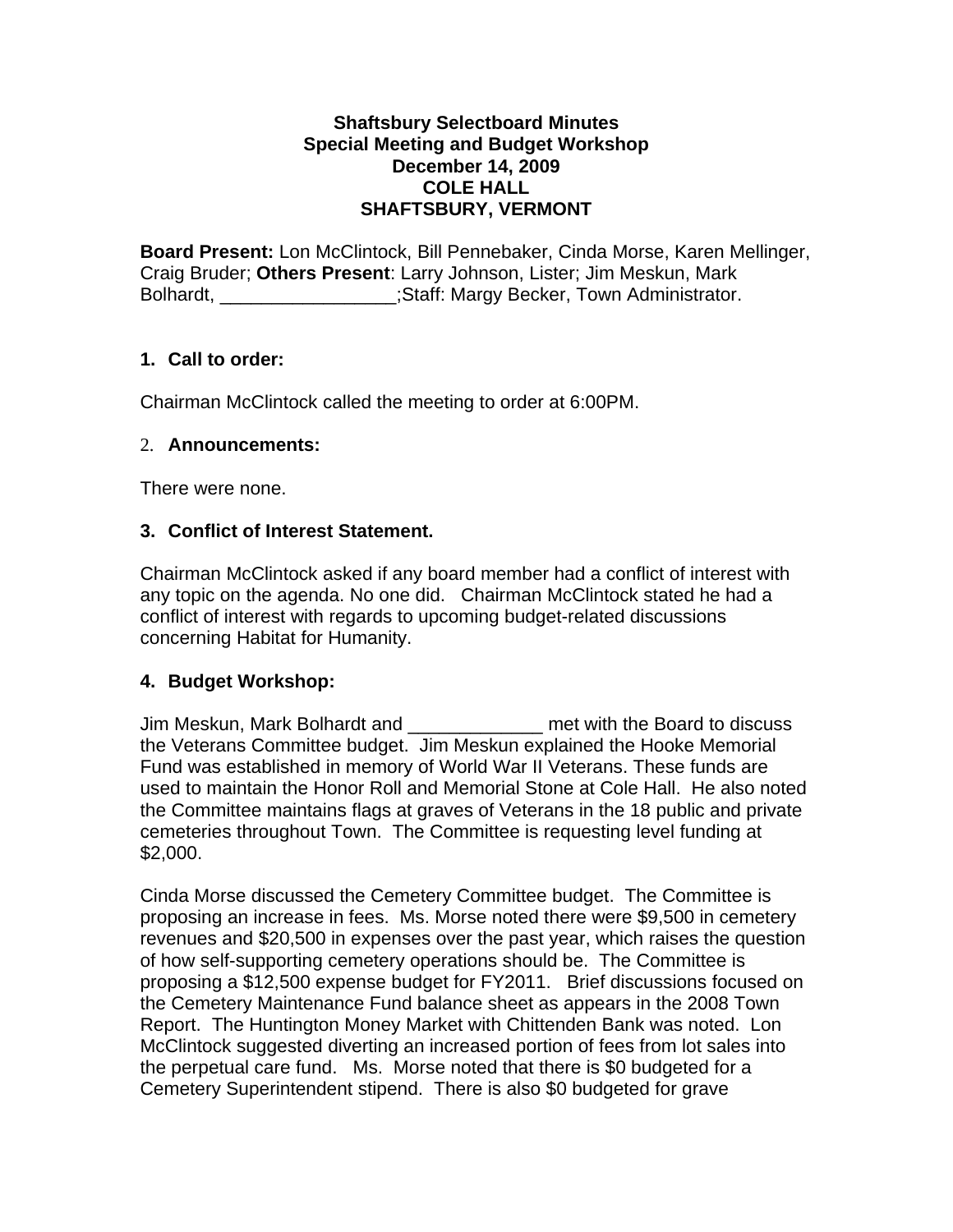## **Shaftsbury Selectboard Minutes Special Meeting and Budget Workshop December 14, 2009 COLE HALL SHAFTSBURY, VERMONT**

**Board Present:** Lon McClintock, Bill Pennebaker, Cinda Morse, Karen Mellinger, Craig Bruder; **Others Present**: Larry Johnson, Lister; Jim Meskun, Mark Bolhardt, **Example 2018**; Staff: Margy Becker, Town Administrator.

# **1. Call to order:**

Chairman McClintock called the meeting to order at 6:00PM.

## 2. **Announcements:**

There were none.

## **3. Conflict of Interest Statement.**

Chairman McClintock asked if any board member had a conflict of interest with any topic on the agenda. No one did. Chairman McClintock stated he had a conflict of interest with regards to upcoming budget-related discussions concerning Habitat for Humanity.

## **4. Budget Workshop:**

Jim Meskun, Mark Bolhardt and \_\_\_\_\_\_\_\_\_\_\_\_\_ met with the Board to discuss the Veterans Committee budget. Jim Meskun explained the Hooke Memorial Fund was established in memory of World War II Veterans. These funds are used to maintain the Honor Roll and Memorial Stone at Cole Hall. He also noted the Committee maintains flags at graves of Veterans in the 18 public and private cemeteries throughout Town. The Committee is requesting level funding at \$2,000.

Cinda Morse discussed the Cemetery Committee budget. The Committee is proposing an increase in fees. Ms. Morse noted there were \$9,500 in cemetery revenues and \$20,500 in expenses over the past year, which raises the question of how self-supporting cemetery operations should be. The Committee is proposing a \$12,500 expense budget for FY2011. Brief discussions focused on the Cemetery Maintenance Fund balance sheet as appears in the 2008 Town Report. The Huntington Money Market with Chittenden Bank was noted. Lon McClintock suggested diverting an increased portion of fees from lot sales into the perpetual care fund. Ms. Morse noted that there is \$0 budgeted for a Cemetery Superintendent stipend. There is also \$0 budgeted for grave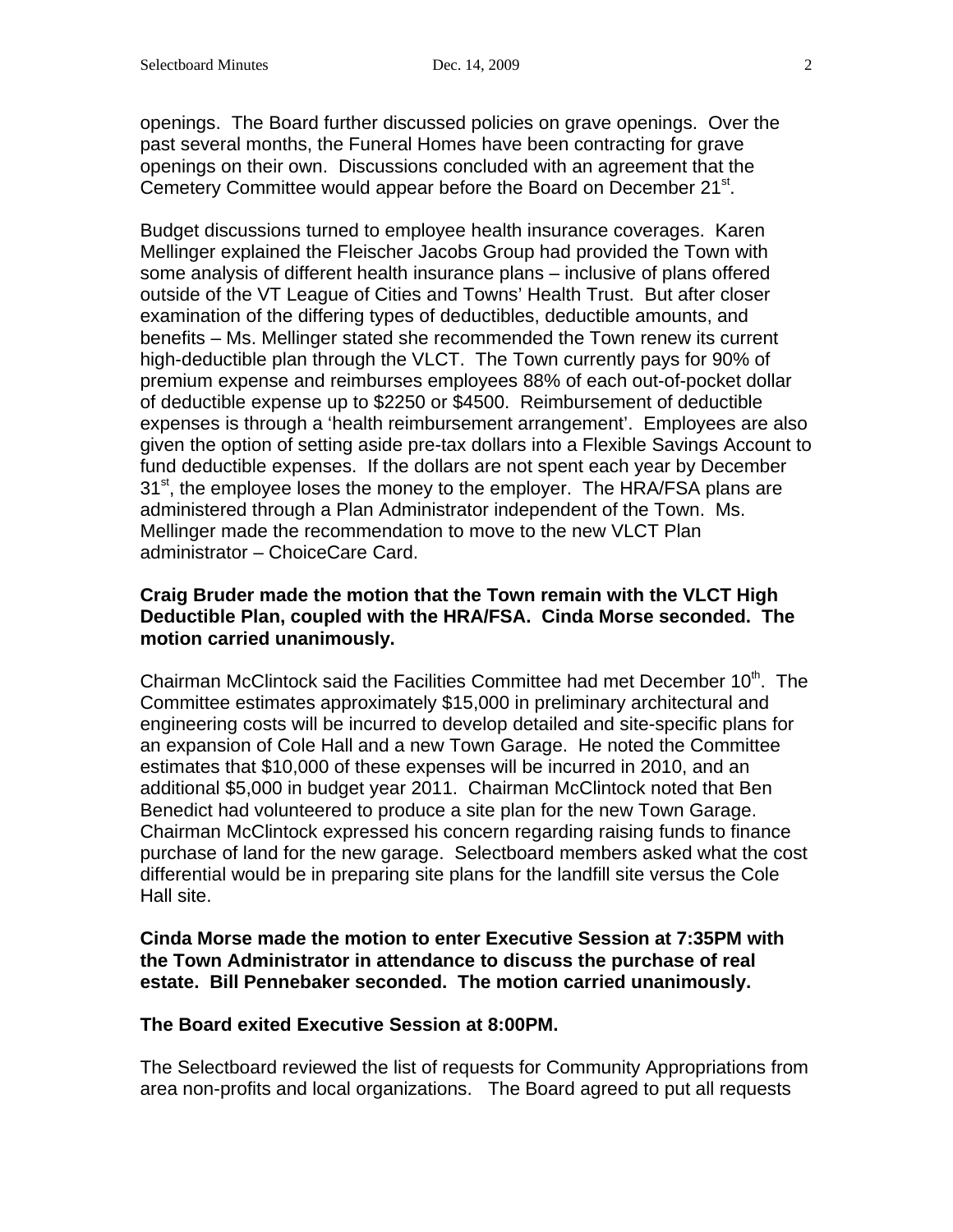openings. The Board further discussed policies on grave openings. Over the past several months, the Funeral Homes have been contracting for grave openings on their own. Discussions concluded with an agreement that the Cemetery Committee would appear before the Board on December 21<sup>st</sup>.

Budget discussions turned to employee health insurance coverages. Karen Mellinger explained the Fleischer Jacobs Group had provided the Town with some analysis of different health insurance plans – inclusive of plans offered outside of the VT League of Cities and Towns' Health Trust. But after closer examination of the differing types of deductibles, deductible amounts, and benefits – Ms. Mellinger stated she recommended the Town renew its current high-deductible plan through the VLCT. The Town currently pays for 90% of premium expense and reimburses employees 88% of each out-of-pocket dollar of deductible expense up to \$2250 or \$4500. Reimbursement of deductible expenses is through a 'health reimbursement arrangement'. Employees are also given the option of setting aside pre-tax dollars into a Flexible Savings Account to fund deductible expenses. If the dollars are not spent each year by December  $31<sup>st</sup>$ , the employee loses the money to the employer. The HRA/FSA plans are administered through a Plan Administrator independent of the Town. Ms. Mellinger made the recommendation to move to the new VLCT Plan administrator – ChoiceCare Card.

## **Craig Bruder made the motion that the Town remain with the VLCT High Deductible Plan, coupled with the HRA/FSA. Cinda Morse seconded. The motion carried unanimously.**

Chairman McClintock said the Facilities Committee had met December  $10<sup>th</sup>$ . The Committee estimates approximately \$15,000 in preliminary architectural and engineering costs will be incurred to develop detailed and site-specific plans for an expansion of Cole Hall and a new Town Garage. He noted the Committee estimates that \$10,000 of these expenses will be incurred in 2010, and an additional \$5,000 in budget year 2011. Chairman McClintock noted that Ben Benedict had volunteered to produce a site plan for the new Town Garage. Chairman McClintock expressed his concern regarding raising funds to finance purchase of land for the new garage. Selectboard members asked what the cost differential would be in preparing site plans for the landfill site versus the Cole Hall site.

#### **Cinda Morse made the motion to enter Executive Session at 7:35PM with the Town Administrator in attendance to discuss the purchase of real estate. Bill Pennebaker seconded. The motion carried unanimously.**

## **The Board exited Executive Session at 8:00PM.**

The Selectboard reviewed the list of requests for Community Appropriations from area non-profits and local organizations. The Board agreed to put all requests